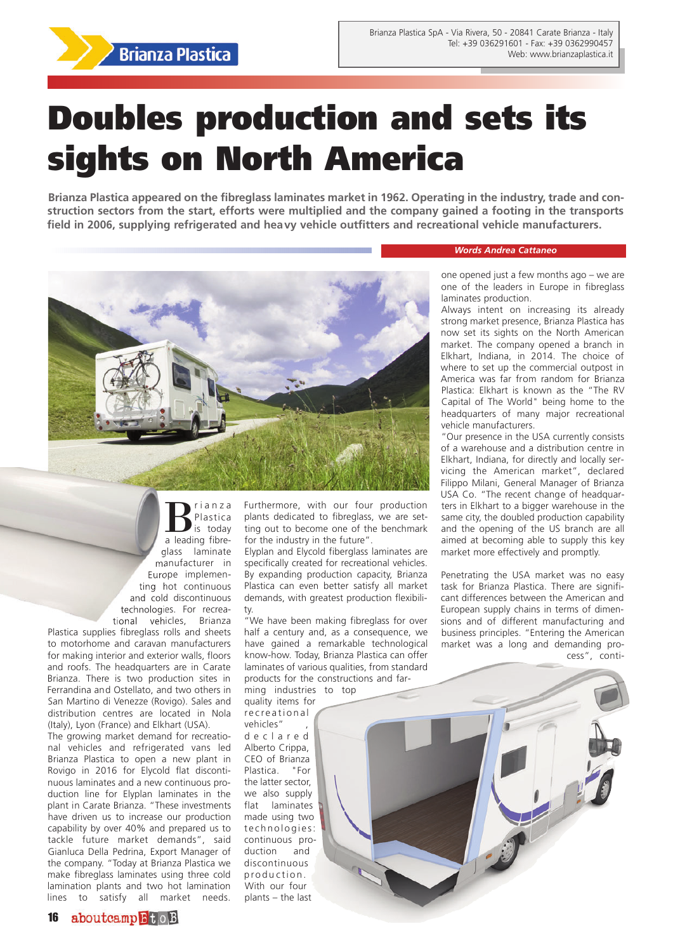

## **Doubles production and sets its sights on North America**

**Brianza Plastica appeared on the fibreglass laminates market in 1962. Operating in the industry, trade and construction sectors from the start, efforts were multiplied and the company gained a footing in the transports field in 2006, supplying refrigerated and heavy vehicle outfitters and recreational vehicle manufacturers.** 



**B**<sup>rianza</sup><br>is today Plastica a leading fibreglass laminate manufacturer in Europe implementing hot continuous and cold discontinuous technologies. For recreational vehicles, Brianza

Plastica supplies fibreglass rolls and sheets to motorhome and caravan manufacturers for making interior and exterior walls, floors and roofs. The headquarters are in Carate Brianza. There is two production sites in Ferrandina and Ostellato, and two others in San Martino di Venezze (Rovigo). Sales and distribution centres are located in Nola (Italy), Lyon (France) and Elkhart (USA).

The growing market demand for recreational vehicles and refrigerated vans led Brianza Plastica to open a new plant in Rovigo in 2016 for Elycold flat discontinuous laminates and a new continuous production line for Elyplan laminates in the plant in Carate Brianza. "These investments have driven us to increase our production capability by over 40% and prepared us to tackle future market demands", said Gianluca Della Pedrina, Export Manager of the company. "Today at Brianza Plastica we make fibreglass laminates using three cold lamination plants and two hot lamination lines to satisfy all market needs.

Furthermore, with our four production plants dedicated to fibreglass, we are setting out to become one of the benchmark for the industry in the future".

Elyplan and Elycold fiberglass laminates are specifically created for recreational vehicles. By expanding production capacity, Brianza Plastica can even better satisfy all market demands, with greatest production flexibility.

"We have been making fibreglass for over half a century and, as a consequence, we have gained a remarkable technological know-how. Today, Brianza Plastica can offer laminates of various qualities, from standard products for the constructions and far-

ming industries to top quality items for recreational vehicles" d e c l a r e d

Alberto Crippa, CEO of Brianza Plastica. "For the latter sector, we also supply flat laminates made using two technologies: continuous production and discontinuous production. With our four plants – the last

*Words Andrea Cattaneo*

one opened just a few months ago – we are one of the leaders in Europe in fibreglass laminates production.

Always intent on increasing its already strong market presence, Brianza Plastica has now set its sights on the North American market. The company opened a branch in Elkhart, Indiana, in 2014. The choice of where to set up the commercial outpost in America was far from random for Brianza Plastica: Elkhart is known as the "The RV Capital of The World" being home to the headquarters of many major recreational vehicle manufacturers.

"Our presence in the USA currently consists of a warehouse and a distribution centre in Elkhart, Indiana, for directly and locally servicing the American market", declared Filippo Milani, General Manager of Brianza USA Co. "The recent change of headquarters in Elkhart to a bigger warehouse in the same city, the doubled production capability and the opening of the US branch are all aimed at becoming able to supply this key market more effectively and promptly.

Penetrating the USA market was no easy task for Brianza Plastica. There are significant differences between the American and European supply chains in terms of dimensions and of different manufacturing and business principles. "Entering the American market was a long and demanding process", conti-